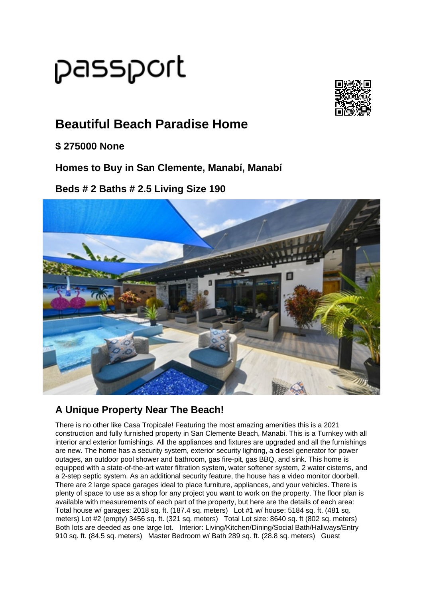## passport



## **Beautiful Beach Paradise Home**

**\$ 275000 None**

**Homes to Buy in San Clemente, Manabí, Manabí**

**Beds # 2 Baths # 2.5 Living Size 190**



## **A Unique Property Near The Beach!**

There is no other like Casa Tropicale! Featuring the most amazing amenities this is a 2021 construction and fully furnished property in San Clemente Beach, Manabi. This is a Turnkey with all interior and exterior furnishings. All the appliances and fixtures are upgraded and all the furnishings are new. The home has a security system, exterior security lighting, a diesel generator for power outages, an outdoor pool shower and bathroom, gas fire-pit, gas BBQ, and sink. This home is equipped with a state-of-the-art water filtration system, water softener system, 2 water cisterns, and a 2-step septic system. As an additional security feature, the house has a video monitor doorbell. There are 2 large space garages ideal to place furniture, appliances, and your vehicles. There is plenty of space to use as a shop for any project you want to work on the property. The floor plan is available with measurements of each part of the property, but here are the details of each area: Total house w/ garages: 2018 sq. ft. (187.4 sq. meters) Lot #1 w/ house: 5184 sq. ft. (481 sq. meters) Lot #2 (empty) 3456 sq. ft. (321 sq. meters) Total Lot size: 8640 sq. ft (802 sq. meters) Both lots are deeded as one large lot. Interior: Living/Kitchen/Dining/Social Bath/Hallways/Entry 910 sq. ft. (84.5 sq. meters) Master Bedroom w/ Bath 289 sq. ft. (28.8 sq. meters) Guest